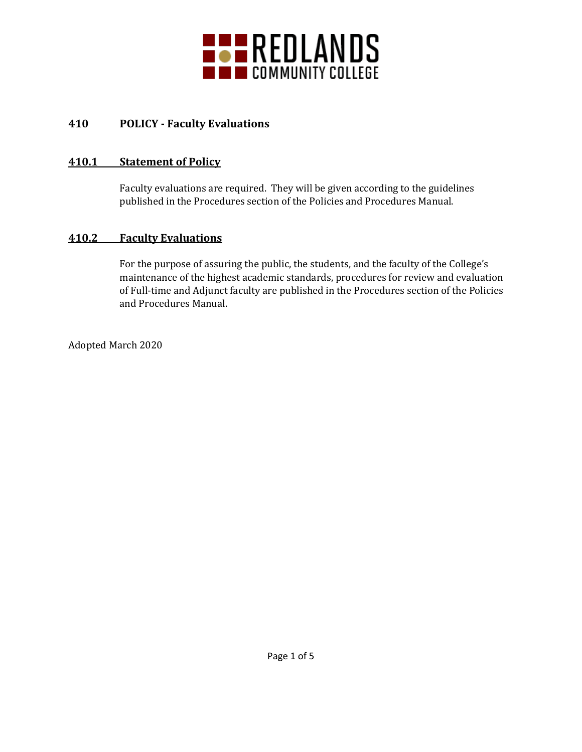

# **410 POLICY - Faculty Evaluations**

#### **410.1 Statement of Policy**

Faculty evaluations are required. They will be given according to the guidelines published in the Procedures section of the Policies and Procedures Manual.

## **410.2 Faculty Evaluations**

For the purpose of assuring the public, the students, and the faculty of the College's maintenance of the highest academic standards, procedures for review and evaluation of Full-time and Adjunct faculty are published in the Procedures section of the Policies and Procedures Manual.

Adopted March 2020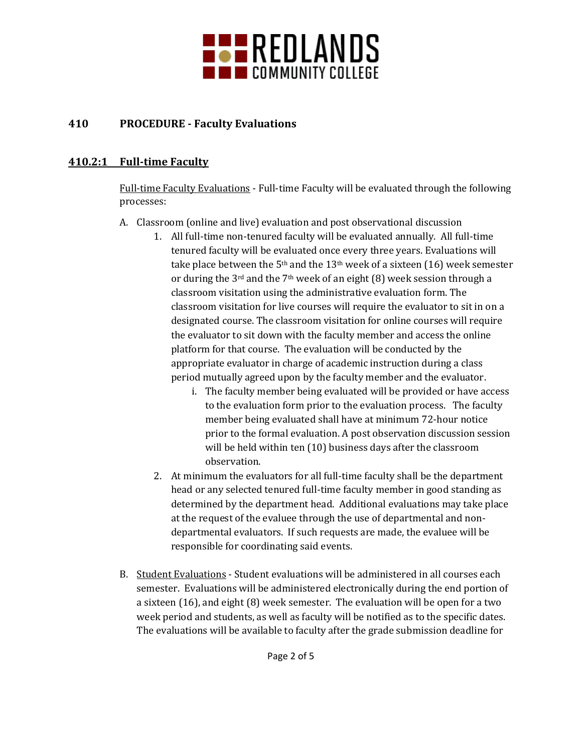

# **410 PROCEDURE - Faculty Evaluations**

#### **410.2:1 Full-time Faculty**

Full-time Faculty Evaluations - Full-time Faculty will be evaluated through the following processes:

- A. Classroom (online and live) evaluation and post observational discussion
	- 1. All full-time non-tenured faculty will be evaluated annually. All full-time tenured faculty will be evaluated once every three years. Evaluations will take place between the  $5<sup>th</sup>$  and the 13<sup>th</sup> week of a sixteen (16) week semester or during the 3rd and the 7th week of an eight (8) week session through a classroom visitation using the administrative evaluation form. The classroom visitation for live courses will require the evaluator to sit in on a designated course. The classroom visitation for online courses will require the evaluator to sit down with the faculty member and access the online platform for that course. The evaluation will be conducted by the appropriate evaluator in charge of academic instruction during a class period mutually agreed upon by the faculty member and the evaluator.
		- i. The faculty member being evaluated will be provided or have access to the evaluation form prior to the evaluation process. The faculty member being evaluated shall have at minimum 72-hour notice prior to the formal evaluation. A post observation discussion session will be held within ten (10) business days after the classroom observation.
	- 2. At minimum the evaluators for all full-time faculty shall be the department head or any selected tenured full-time faculty member in good standing as determined by the department head. Additional evaluations may take place at the request of the evaluee through the use of departmental and nondepartmental evaluators. If such requests are made, the evaluee will be responsible for coordinating said events.
- B. Student Evaluations Student evaluations will be administered in all courses each semester. Evaluations will be administered electronically during the end portion of a sixteen (16), and eight (8) week semester. The evaluation will be open for a two week period and students, as well as faculty will be notified as to the specific dates. The evaluations will be available to faculty after the grade submission deadline for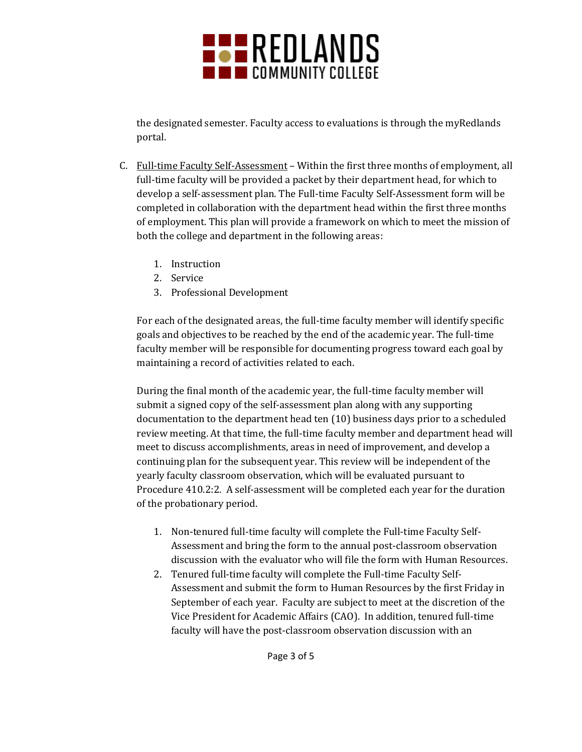

the designated semester. Faculty access to evaluations is through the myRedlands portal.

- C. Full-time Faculty Self-Assessment Within the first three months of employment, all full-time faculty will be provided a packet by their department head, for which to develop a self-assessment plan. The Full-time Faculty Self-Assessment form will be completed in collaboration with the department head within the first three months of employment. This plan will provide a framework on which to meet the mission of both the college and department in the following areas:
	- 1. Instruction
	- 2. Service
	- 3. Professional Development

For each of the designated areas, the full-time faculty member will identify specific goals and objectives to be reached by the end of the academic year. The full-time faculty member will be responsible for documenting progress toward each goal by maintaining a record of activities related to each.

During the final month of the academic year, the full-time faculty member will submit a signed copy of the self-assessment plan along with any supporting documentation to the department head ten (10) business days prior to a scheduled review meeting. At that time, the full-time faculty member and department head will meet to discuss accomplishments, areas in need of improvement, and develop a continuing plan for the subsequent year. This review will be independent of the yearly faculty classroom observation, which will be evaluated pursuant to Procedure 410.2:2. A self-assessment will be completed each year for the duration of the probationary period.

- 1. Non-tenured full-time faculty will complete the Full-time Faculty Self-Assessment and bring the form to the annual post-classroom observation discussion with the evaluator who will file the form with Human Resources.
- 2. Tenured full-time faculty will complete the Full-time Faculty Self-Assessment and submit the form to Human Resources by the first Friday in September of each year. Faculty are subject to meet at the discretion of the Vice President for Academic Affairs (CAO). In addition, tenured full-time faculty will have the post-classroom observation discussion with an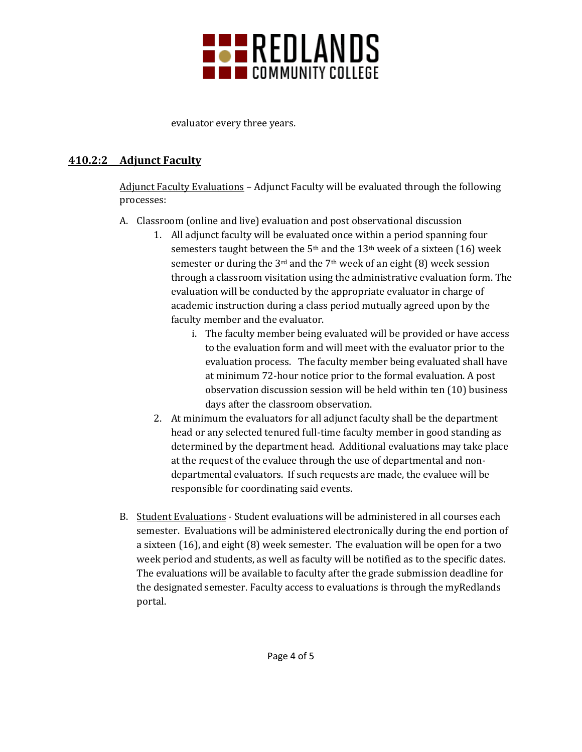

evaluator every three years.

## **410.2:2 Adjunct Faculty**

Adjunct Faculty Evaluations – Adjunct Faculty will be evaluated through the following processes:

- A. Classroom (online and live) evaluation and post observational discussion
	- 1. All adjunct faculty will be evaluated once within a period spanning four semesters taught between the  $5<sup>th</sup>$  and the  $13<sup>th</sup>$  week of a sixteen (16) week semester or during the 3rd and the 7th week of an eight (8) week session through a classroom visitation using the administrative evaluation form. The evaluation will be conducted by the appropriate evaluator in charge of academic instruction during a class period mutually agreed upon by the faculty member and the evaluator.
		- i. The faculty member being evaluated will be provided or have access to the evaluation form and will meet with the evaluator prior to the evaluation process. The faculty member being evaluated shall have at minimum 72-hour notice prior to the formal evaluation. A post observation discussion session will be held within ten (10) business days after the classroom observation.
	- 2. At minimum the evaluators for all adjunct faculty shall be the department head or any selected tenured full-time faculty member in good standing as determined by the department head. Additional evaluations may take place at the request of the evaluee through the use of departmental and nondepartmental evaluators. If such requests are made, the evaluee will be responsible for coordinating said events.
- B. Student Evaluations Student evaluations will be administered in all courses each semester. Evaluations will be administered electronically during the end portion of a sixteen (16), and eight (8) week semester. The evaluation will be open for a two week period and students, as well as faculty will be notified as to the specific dates. The evaluations will be available to faculty after the grade submission deadline for the designated semester. Faculty access to evaluations is through the myRedlands portal.